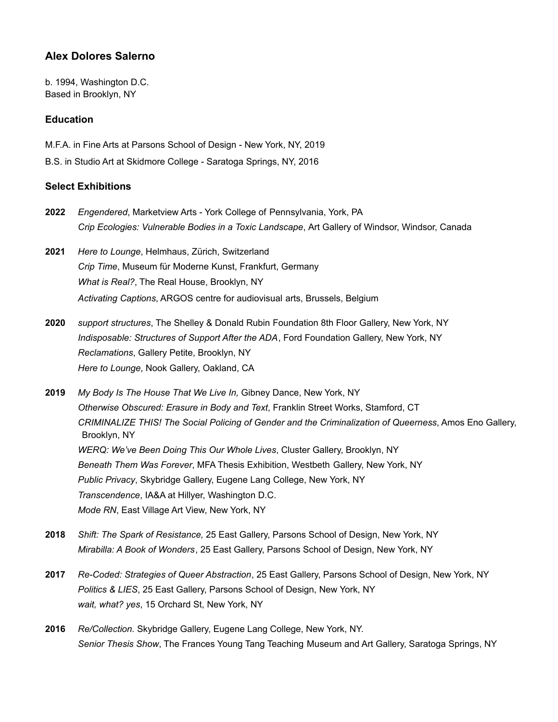# **Alex Dolores Salerno**

b. 1994, Washington D.C. Based in Brooklyn, NY

### **Education**

M.F.A. in Fine Arts at Parsons School of Design - New York, NY, 2019

B.S. in Studio Art at Skidmore College - Saratoga Springs, NY, 2016

### **Select Exhibitions**

- **2022** *Engendered*, Marketview Arts York College of Pennsylvania, York, PA *Crip Ecologies: Vulnerable Bodies in a Toxic Landscape*, Art Gallery of Windsor, Windsor, Canada
- **2021** *Here to Lounge*, Helmhaus, Zürich, Switzerland *Crip Time*, Museum für Moderne Kunst, Frankfurt, Germany *What is Real?*, The Real House, Brooklyn, NY *Activating Captions*, ARGOS centre for audiovisual arts, Brussels, Belgium
- **2020** *support structures*, The Shelley & Donald Rubin Foundation 8th Floor Gallery, New York, NY *Indisposable: Structures of Support After the ADA*, Ford Foundation Gallery, New York, NY *Reclamations*, Gallery Petite, Brooklyn, NY *Here to Lounge*, Nook Gallery, Oakland, CA
- **2019** *My Body Is The House That We Live In,* Gibney Dance, New York, NY *Otherwise Obscured: Erasure in Body and Text*, Franklin Street Works, Stamford, CT *CRIMINALIZE THIS! The Social Policing of Gender and the Criminalization of Queerness*, Amos Eno Gallery, Brooklyn, NY *WERQ: We've Been Doing This Our Whole Lives*, Cluster Gallery, Brooklyn, NY *Beneath Them Was Forever*, MFA Thesis Exhibition, Westbeth Gallery, New York, NY *Public Privacy*, Skybridge Gallery, Eugene Lang College, New York, NY *Transcendence*, IA&A at Hillyer, Washington D.C. *Mode RN*, East Village Art View, New York, NY
- **2018** *Shift: The Spark of Resistance,* 25 East Gallery, Parsons School of Design, New York, NY *Mirabilla: A Book of Wonders*, 25 East Gallery, Parsons School of Design, New York, NY
- **2017** *Re-Coded: Strategies of Queer Abstraction*, 25 East Gallery, Parsons School of Design, New York, NY *Politics & LIES*, 25 East Gallery, Parsons School of Design, New York, NY *wait, what? yes*, 15 Orchard St, New York, NY
- **2016** *Re/Collection.* Skybridge Gallery, Eugene Lang College, New York, NY. *Senior Thesis Show*, The Frances Young Tang Teaching Museum and Art Gallery, Saratoga Springs, NY